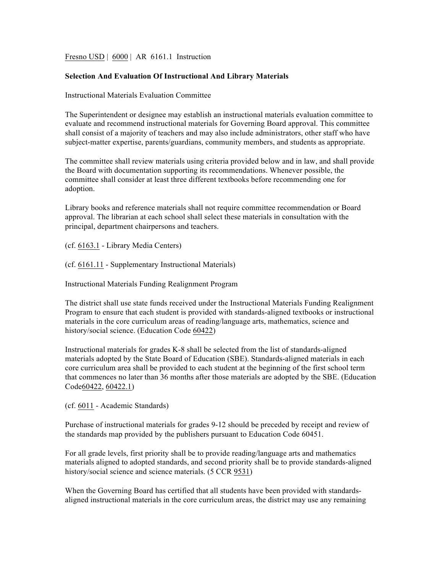Fresno USD | 6000 | AR 6161.1 Instruction

## **Selection And Evaluation Of Instructional And Library Materials**

Instructional Materials Evaluation Committee

The Superintendent or designee may establish an instructional materials evaluation committee to evaluate and recommend instructional materials for Governing Board approval. This committee shall consist of a majority of teachers and may also include administrators, other staff who have subject-matter expertise, parents/guardians, community members, and students as appropriate.

The committee shall review materials using criteria provided below and in law, and shall provide the Board with documentation supporting its recommendations. Whenever possible, the committee shall consider at least three different textbooks before recommending one for adoption.

Library books and reference materials shall not require committee recommendation or Board approval. The librarian at each school shall select these materials in consultation with the principal, department chairpersons and teachers.

(cf. 6163.1 - Library Media Centers)

(cf. 6161.11 - Supplementary Instructional Materials)

Instructional Materials Funding Realignment Program

The district shall use state funds received under the Instructional Materials Funding Realignment Program to ensure that each student is provided with standards-aligned textbooks or instructional materials in the core curriculum areas of reading/language arts, mathematics, science and history/social science. (Education Code 60422)

Instructional materials for grades K-8 shall be selected from the list of standards-aligned materials adopted by the State Board of Education (SBE). Standards-aligned materials in each core curriculum area shall be provided to each student at the beginning of the first school term that commences no later than 36 months after those materials are adopted by the SBE. (Education Code60422, 60422.1)

(cf. 6011 - Academic Standards)

Purchase of instructional materials for grades 9-12 should be preceded by receipt and review of the standards map provided by the publishers pursuant to Education Code 60451.

For all grade levels, first priority shall be to provide reading/language arts and mathematics materials aligned to adopted standards, and second priority shall be to provide standards-aligned history/social science and science materials. (5 CCR 9531)

When the Governing Board has certified that all students have been provided with standardsaligned instructional materials in the core curriculum areas, the district may use any remaining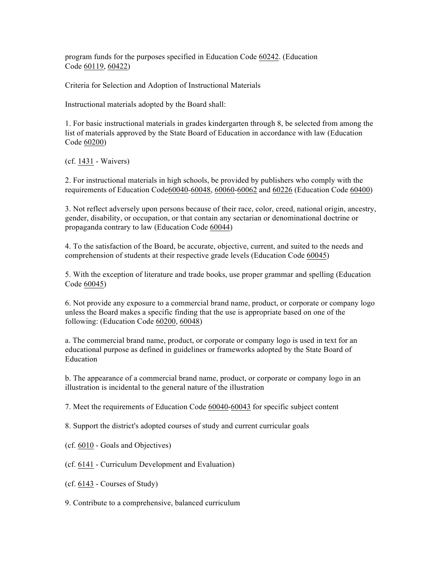program funds for the purposes specified in Education Code 60242. (Education Code 60119, 60422)

Criteria for Selection and Adoption of Instructional Materials

Instructional materials adopted by the Board shall:

1. For basic instructional materials in grades kindergarten through 8, be selected from among the list of materials approved by the State Board of Education in accordance with law (Education Code 60200)

(cf. 1431 - Waivers)

2. For instructional materials in high schools, be provided by publishers who comply with the requirements of Education Code60040-60048, 60060-60062 and 60226 (Education Code 60400)

3. Not reflect adversely upon persons because of their race, color, creed, national origin, ancestry, gender, disability, or occupation, or that contain any sectarian or denominational doctrine or propaganda contrary to law (Education Code 60044)

4. To the satisfaction of the Board, be accurate, objective, current, and suited to the needs and comprehension of students at their respective grade levels (Education Code 60045)

5. With the exception of literature and trade books, use proper grammar and spelling (Education Code 60045)

6. Not provide any exposure to a commercial brand name, product, or corporate or company logo unless the Board makes a specific finding that the use is appropriate based on one of the following: (Education Code 60200, 60048)

a. The commercial brand name, product, or corporate or company logo is used in text for an educational purpose as defined in guidelines or frameworks adopted by the State Board of Education

b. The appearance of a commercial brand name, product, or corporate or company logo in an illustration is incidental to the general nature of the illustration

7. Meet the requirements of Education Code 60040-60043 for specific subject content

8. Support the district's adopted courses of study and current curricular goals

(cf. 6010 - Goals and Objectives)

(cf. 6141 - Curriculum Development and Evaluation)

 $(cf. 6143 - Courses of Study)$ 

9. Contribute to a comprehensive, balanced curriculum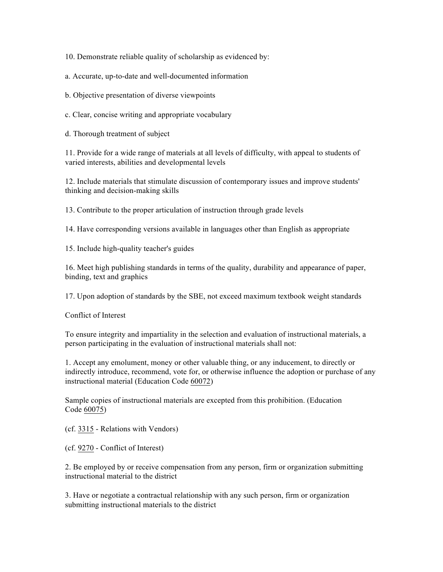10. Demonstrate reliable quality of scholarship as evidenced by:

a. Accurate, up-to-date and well-documented information

b. Objective presentation of diverse viewpoints

c. Clear, concise writing and appropriate vocabulary

d. Thorough treatment of subject

11. Provide for a wide range of materials at all levels of difficulty, with appeal to students of varied interests, abilities and developmental levels

12. Include materials that stimulate discussion of contemporary issues and improve students' thinking and decision-making skills

13. Contribute to the proper articulation of instruction through grade levels

14. Have corresponding versions available in languages other than English as appropriate

15. Include high-quality teacher's guides

16. Meet high publishing standards in terms of the quality, durability and appearance of paper, binding, text and graphics

17. Upon adoption of standards by the SBE, not exceed maximum textbook weight standards

Conflict of Interest

To ensure integrity and impartiality in the selection and evaluation of instructional materials, a person participating in the evaluation of instructional materials shall not:

1. Accept any emolument, money or other valuable thing, or any inducement, to directly or indirectly introduce, recommend, vote for, or otherwise influence the adoption or purchase of any instructional material (Education Code 60072)

Sample copies of instructional materials are excepted from this prohibition. (Education Code 60075)

(cf. 3315 - Relations with Vendors)

(cf. 9270 - Conflict of Interest)

2. Be employed by or receive compensation from any person, firm or organization submitting instructional material to the district

3. Have or negotiate a contractual relationship with any such person, firm or organization submitting instructional materials to the district